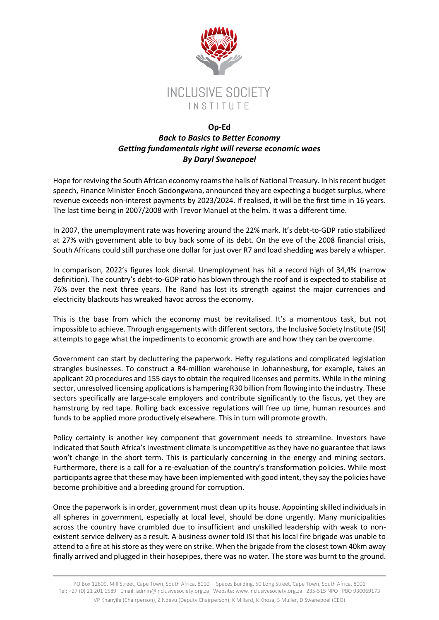

## **Op-Ed** *Back to Basics to Better Economy Getting fundamentals right will reverse economic woes By Daryl Swanepoel*

Hope for reviving the South African economy roams the halls of National Treasury. In his recent budget speech, Finance Minister Enoch Godongwana, announced they are expecting a budget surplus, where revenue exceeds non-interest payments by 2023/2024. If realised, it will be the first time in 16 years. The last time being in 2007/2008 with Trevor Manuel at the helm. It was a different time.

In 2007, the unemployment rate was hovering around the 22% mark. It's debt-to-GDP ratio stabilized at 27% with government able to buy back some of its debt. On the eve of the 2008 financial crisis, South Africans could still purchase one dollar for just over R7 and load shedding was barely a whisper.

In comparison, 2022's figures look dismal. Unemployment has hit a record high of 34,4% (narrow definition). The country's debt-to-GDP ratio has blown through the roof and is expected to stabilise at 76% over the next three years. The Rand has lost its strength against the major currencies and electricity blackouts has wreaked havoc across the economy.

This is the base from which the economy must be revitalised. It's a momentous task, but not impossible to achieve. Through engagements with different sectors, the Inclusive Society Institute (ISI) attempts to gage what the impediments to economic growth are and how they can be overcome.

Government can start by decluttering the paperwork. Hefty regulations and complicated legislation strangles businesses. To construct a R4-million warehouse in Johannesburg, for example, takes an applicant 20 procedures and 155 days to obtain the required licenses and permits. While in the mining sector, unresolved licensing applications is hampering R30 billion from flowing into the industry. These sectors specifically are large-scale employers and contribute significantly to the fiscus, yet they are hamstrung by red tape. Rolling back excessive regulations will free up time, human resources and funds to be applied more productively elsewhere. This in turn will promote growth.

Policy certainty is another key component that government needs to streamline. Investors have indicated that South Africa's investment climate is uncompetitive as they have no guarantee that laws won't change in the short term. This is particularly concerning in the energy and mining sectors. Furthermore, there is a call for a re-evaluation of the country's transformation policies. While most participants agree that these may have been implemented with good intent, they say the policies have become prohibitive and a breeding ground for corruption.

Once the paperwork is in order, government must clean up its house. Appointing skilled individuals in all spheres in government, especially at local level, should be done urgently. Many municipalities across the country have crumbled due to insufficient and unskilled leadership with weak to nonexistent service delivery as a result. A business owner told ISI that his local fire brigade was unable to attend to a fire at his store as they were on strike. When the brigade from the closest town 40km away finally arrived and plugged in their hosepipes, there was no water. The store was burnt to the ground.